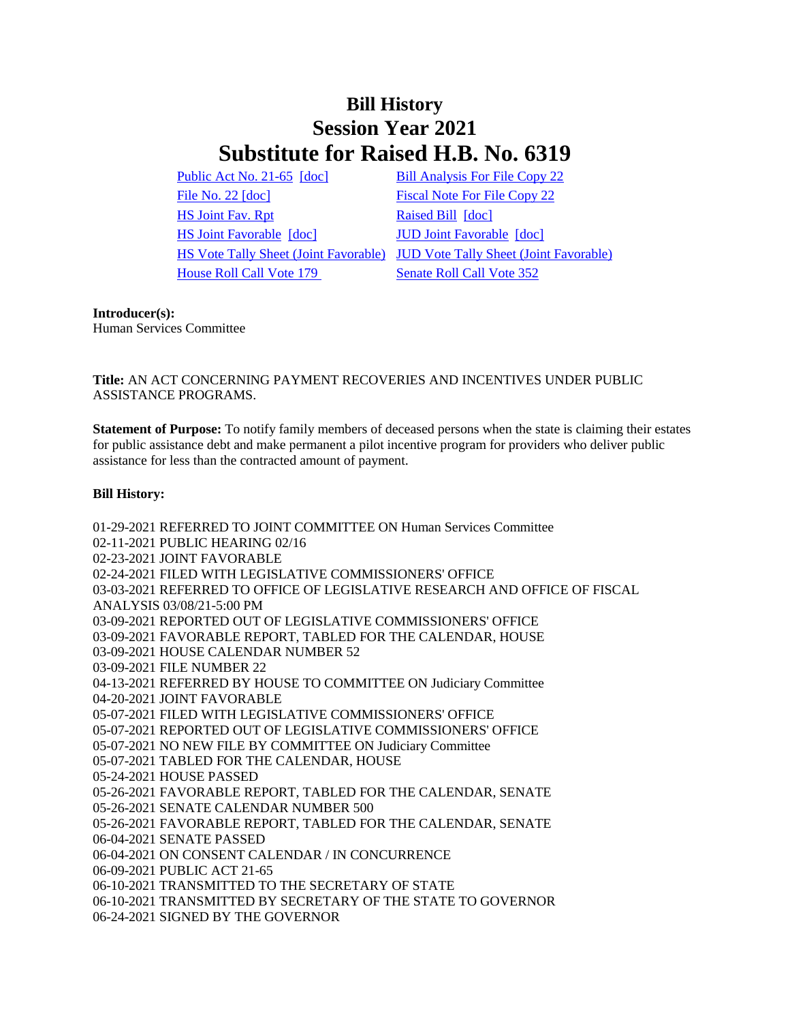## **Bill History Session Year 2021 Substitute for Raised H.B. No. 6319**

[Public Act No. 21-65](/2021/ACT/PA/PDF/2021PA-00065-R00HB-06319-PA.PDF) [\[doc\]](https://search.cga.state.ct.us/dl2021/PA/DOC/2021PA-00065-R00HB-06319-PA.DOCX) [Bill Analysis For File Copy 22](/2021/BA/PDF/2021HB-06319-R000022-BA.PDF) [File No. 22](/2021/FC/PDF/2021HB-06319-R000022-FC.PDF) [\[doc\]](/2021/FC/PDF/2021HB-06319-R000022-FC.PDF) [Fiscal Note For File Copy 22](/2021/FN/PDF/2021HB-06319-R000022-FN.PDF) [HS Joint Fav. Rpt](/2021/JFR/H/PDF/2021HB-06319-R00HS-JFR.PDF) [Raised Bill](/2021/TOB/H/PDF/2021HB-06319-R00-HB.PDF) [\[doc\]](https://search.cga.state.ct.us/dl2021/TOB/DOC/2021HB-06319-R00-HB.DOCX) [HS Joint Favorable](/2021/TOB/H/PDF/2021HB-06319-R01-HB.PDF) [\[doc\]](https://search.cga.state.ct.us/dl2021/TOB/DOC/2021HB-06319-R02-HB.DOCX) [JUD Joint Favorable](/2021/TOB/H/PDF/2021HB-06319-R02-HB.PDF) [doc] [House Roll Call Vote 179](/2021/VOTE/H/PDF/2021HV-00179-R00HB06319-HV.PDF) [Senate Roll Call Vote 352](/2021/VOTE/S/PDF/2021SV-00352-R00HB06319-SV.PDF) 

HS Vote [Tally Sheet \(Joint Favorable\)](/2021/TS/H/PDF/2021HB-06319-R00HS-CV29-TS.PDF) [JUD Vote Tally Sheet \(Joint Favorable\)](/2021/TS/H/PDF/2021HB-06319-R00JUD-CV150-TS.PDF)

## **Introducer(s):**

Human Services Committee

**Title:** AN ACT CONCERNING PAYMENT RECOVERIES AND INCENTIVES UNDER PUBLIC ASSISTANCE PROGRAMS.

**Statement of Purpose:** To notify family members of deceased persons when the state is claiming their estates for public assistance debt and make permanent a pilot incentive program for providers who deliver public assistance for less than the contracted amount of payment.

## **Bill History:**

01-29-2021 REFERRED TO JOINT COMMITTEE ON Human Services Committee 02-11-2021 PUBLIC HEARING 02/16 02-23-2021 JOINT FAVORABLE 02-24-2021 FILED WITH LEGISLATIVE COMMISSIONERS' OFFICE 03-03-2021 REFERRED TO OFFICE OF LEGISLATIVE RESEARCH AND OFFICE OF FISCAL ANALYSIS 03/08/21-5:00 PM 03-09-2021 REPORTED OUT OF LEGISLATIVE COMMISSIONERS' OFFICE 03-09-2021 FAVORABLE REPORT, TABLED FOR THE CALENDAR, HOUSE 03-09-2021 HOUSE CALENDAR NUMBER 52 03-09-2021 FILE NUMBER 22 04-13-2021 REFERRED BY HOUSE TO COMMITTEE ON Judiciary Committee 04-20-2021 JOINT FAVORABLE 05-07-2021 FILED WITH LEGISLATIVE COMMISSIONERS' OFFICE 05-07-2021 REPORTED OUT OF LEGISLATIVE COMMISSIONERS' OFFICE 05-07-2021 NO NEW FILE BY COMMITTEE ON Judiciary Committee 05-07-2021 TABLED FOR THE CALENDAR, HOUSE 05-24-2021 HOUSE PASSED 05-26-2021 FAVORABLE REPORT, TABLED FOR THE CALENDAR, SENATE 05-26-2021 SENATE CALENDAR NUMBER 500 05-26-2021 FAVORABLE REPORT, TABLED FOR THE CALENDAR, SENATE 06-04-2021 SENATE PASSED 06-04-2021 ON CONSENT CALENDAR / IN CONCURRENCE 06-09-2021 PUBLIC ACT 21-65 06-10-2021 TRANSMITTED TO THE SECRETARY OF STATE 06-10-2021 TRANSMITTED BY SECRETARY OF THE STATE TO GOVERNOR 06-24-2021 SIGNED BY THE GOVERNOR